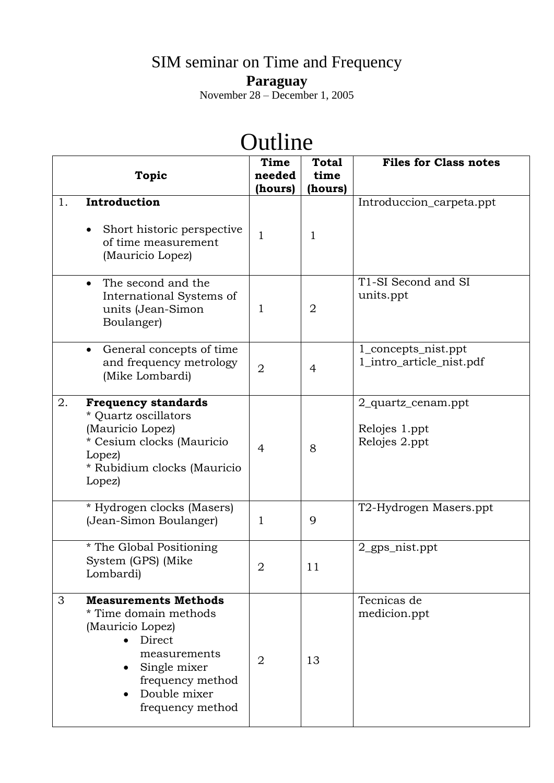## SIM seminar on Time and Frequency **Paraguay**

November 28 – December 1, 2005

## Outline **Topic Time needed (hours) Total time (hours) Files for Class notes** 1. **Introduction**  Short historic perspective of time measurement (Mauricio Lopez) 1 1 Introduccion\_carpeta.ppt • The second and the International Systems of units (Jean-Simon Boulanger) 1 2 T1-SI Second and SI units.ppt General concepts of time and frequency metrology and nequency ineriology  $\begin{vmatrix} 2 \\ 4 \end{vmatrix}$  4 1\_concepts\_nist.ppt 1\_intro\_article\_nist.pdf 2. **Frequency standards** \* Quartz oscillators (Mauricio Lopez) \* Cesium clocks (Mauricio Lopez) \* Rubidium clocks (Mauricio 4 8 2\_quartz\_cenam.ppt Relojes 1.ppt Relojes 2.ppt

| Rubidium clocks (Mauricio<br>Lopez)                                                                                                                                                            |                |    |                             |
|------------------------------------------------------------------------------------------------------------------------------------------------------------------------------------------------|----------------|----|-----------------------------|
| * Hydrogen clocks (Masers)<br>(Jean-Simon Boulanger)                                                                                                                                           |                | 9  | T2-Hydrogen Masers.ppt      |
| * The Global Positioning<br>System (GPS) (Mike<br>Lombardi)                                                                                                                                    | $\overline{2}$ | 11 | $2$ gps nist.ppt            |
| 3<br><b>Measurements Methods</b><br>* Time domain methods<br>(Mauricio Lopez)<br>Direct<br>measurements<br>• Single mixer<br>frequency method<br>Double mixer<br>$\bullet$<br>frequency method | $\overline{2}$ | 13 | Tecnicas de<br>medicion.ppt |